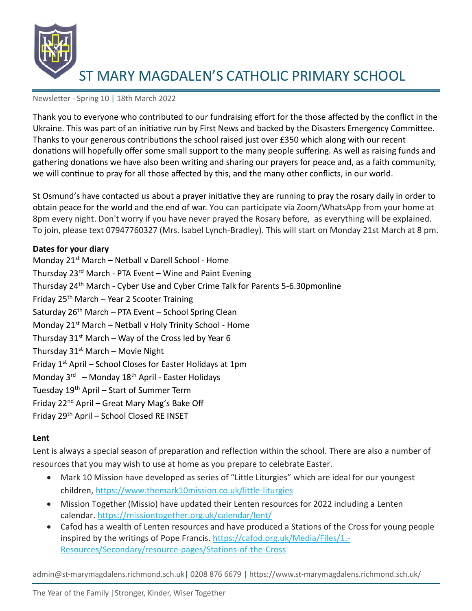

#### Newsletter - Spring 10 | 18th March 2022

Thank you to everyone who contributed to our fundraising effort for the those affected by the conflict in the Ukraine. This was part of an initiative run by First News and backed by the Disasters Emergency Committee. Thanks to your generous contributions the school raised just over £350 which along with our recent donations will hopefully offer some small support to the many people suffering. As well as raising funds and gathering donations we have also been writing and sharing our prayers for peace and, as a faith community, we will continue to pray for all those affected by this, and the many other conflicts, in our world.

St Osmund's have contacted us about a prayer initiative they are running to pray the rosary daily in order to obtain peace for the world and the end of war. You can participate via Zoom/WhatsApp from your home at 8pm every night. Don't worry if you have never prayed the Rosary before, as everything will be explained. To join, please text 07947760327 (Mrs. Isabel Lynch-Bradley). This will start on Monday 21st March at 8 pm.

### **Dates for your diary**

Monday  $21^{st}$  March – Netball v Darell School - Home Thursday  $23^{rd}$  March - PTA Event – Wine and Paint Evening Thursday 24th March - Cyber Use and Cyber Crime Talk for Parents 5-6.30pmonline Friday 25<sup>th</sup> March – Year 2 Scooter Training Saturday  $26<sup>th</sup>$  March – PTA Event – School Spring Clean Monday 21<sup>st</sup> March – Netball v Holy Trinity School - Home Thursday  $31^{st}$  March – Way of the Cross led by Year 6 Thursday  $31<sup>st</sup>$  March – Movie Night Friday  $1<sup>st</sup>$  April – School Closes for Easter Holidays at 1pm Monday 3<sup>rd</sup> – Monday 18<sup>th</sup> April - Easter Holidays Tuesday 19<sup>th</sup> April – Start of Summer Term Friday 22<sup>nd</sup> April – Great Mary Mag's Bake Off Friday 29th April – School Closed RE INSET

### **Lent**

Lent is always a special season of preparation and reflection within the school. There are also a number of resources that you may wish to use at home as you prepare to celebrate Easter.

- Mark 10 Mission have developed as series of "Little Liturgies" which are ideal for our youngest children,<https://www.themark10mission.co.uk/little-liturgies>
- Mission Together (Missio) have updated their Lenten resources for 2022 including a Lenten calendar.<https://missiontogether.org.uk/calendar/lent/>
- Cafod has a wealth of Lenten resources and have produced a Stations of the Cross for young people inspired by the writings of Pope Francis. [https://cafod.org.uk/Media/Files/1.-](https://cafod.org.uk/Media/Files/1.-Resources/Secondary/resource-pages/Stations-of-the-Cross) [Resources/Secondary/resource-pages/Stations-of-the-Cross](https://cafod.org.uk/Media/Files/1.-Resources/Secondary/resource-pages/Stations-of-the-Cross)

admin@st-marymagdalens.richmond.sch.uk| 0208 876 6679 | https://www.st-marymagdalens.richmond.sch.uk/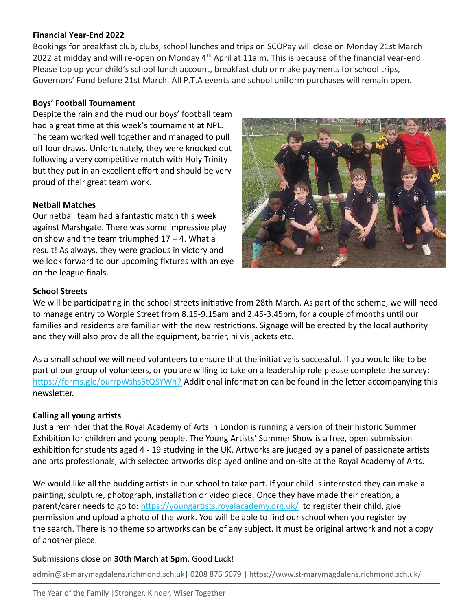### **Financial Year-End 2022**

Bookings for breakfast club, clubs, school lunches and trips on SCOPay will close on Monday 21st March 2022 at midday and will re-open on Monday  $4<sup>th</sup>$  April at 11a.m. This is because of the financial year-end. Please top up your child's school lunch account, breakfast club or make payments for school trips, Governors' Fund before 21st March. All P.T.A events and school uniform purchases will remain open.

### **Boys' Football Tournament**

Despite the rain and the mud our boys' football team had a great time at this week's tournament at NPL. The team worked well together and managed to pull off four draws. Unfortunately, they were knocked out following a very competitive match with Holy Trinity but they put in an excellent effort and should be very proud of their great team work.

#### **Netball Matches**

Our netball team had a fantastic match this week against Marshgate. There was some impressive play on show and the team triumphed  $17 - 4$ . What a result! As always, they were gracious in victory and we look forward to our upcoming fixtures with an eye on the league finals.



### **School Streets**

We will be participating in the school streets initiative from 28th March. As part of the scheme, we will need to manage entry to Worple Street from 8.15-9.15am and 2.45-3.45pm, for a couple of months until our families and residents are familiar with the new restrictions. Signage will be erected by the local authority and they will also provide all the equipment, barrier, hi vis jackets etc.

As a small school we will need volunteers to ensure that the initiative is successful. If you would like to be part of our group of volunteers, or you are willing to take on a leadership role please complete the survey: <https://forms.gle/ourrpWshs5tQSYWh7> Additional information can be found in the letter accompanying this newsletter.

### **Calling all young artists**

Just a reminder that the Royal Academy of Arts in London is running a version of their historic Summer Exhibition for children and young people. The Young Artists' Summer Show is a free, open submission exhibition for students aged 4 - 19 studying in the UK. Artworks are judged by a panel of passionate artists and arts professionals, with selected artworks displayed online and on-site at the Royal Academy of Arts.

We would like all the budding artists in our school to take part. If your child is interested they can make a painting, sculpture, photograph, installation or video piece. Once they have made their creation, a parent/carer needs to go to: <https://youngartists.royalacademy.org.uk/> to register their child, give permission and upload a photo of the work. You will be able to find our school when you register by the search. There is no theme so artworks can be of any subject. It must be original artwork and not a copy of another piece.

#### Submissions close on **30th March at 5pm**. Good Luck!

admin@st-marymagdalens.richmond.sch.uk| 0208 876 6679 | https://www.st-marymagdalens.richmond.sch.uk/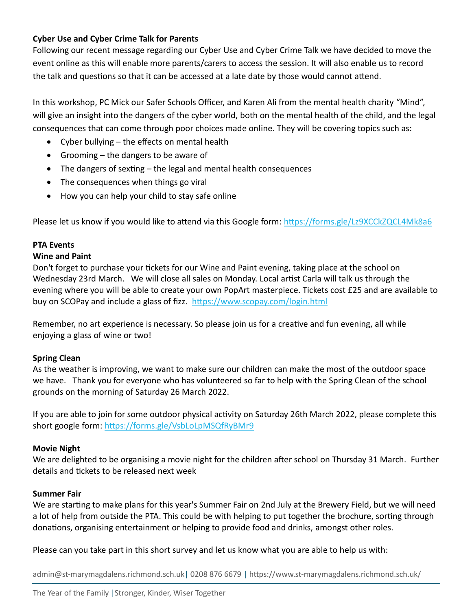# **Cyber Use and Cyber Crime Talk for Parents**

Following our recent message regarding our Cyber Use and Cyber Crime Talk we have decided to move the event online as this will enable more parents/carers to access the session. It will also enable us to record the talk and questions so that it can be accessed at a late date by those would cannot attend.

In this workshop, PC Mick our Safer Schools Officer, and Karen Ali from the mental health charity "Mind", will give an insight into the dangers of the cyber world, both on the mental health of the child, and the legal consequences that can come through poor choices made online. They will be covering topics such as:

- Cyber bullying the effects on mental health
- Grooming the dangers to be aware of
- The dangers of sexting the legal and mental health consequences
- The consequences when things go viral
- How you can help your child to stay safe online

Please let us know if you would like to attend via this Google form:<https://forms.gle/Lz9XCCkZQCL4Mk8a6>

# **PTA Events**

### **Wine and Paint**

Don't forget to purchase your tickets for our Wine and Paint evening, taking place at the school on Wednesday 23rd March. We will close all sales on Monday. Local artist Carla will talk us through the evening where you will be able to create your own PopArt masterpiece. Tickets cost £25 and are available to buy on SCOPay and include a glass of fizz. <https://www.scopay.com/login.html>

Remember, no art experience is necessary. So please join us for a creative and fun evening, all while enjoying a glass of wine or two!

# **Spring Clean**

As the weather is improving, we want to make sure our children can make the most of the outdoor space we have. Thank you for everyone who has volunteered so far to help with the Spring Clean of the school grounds on the morning of Saturday 26 March 2022.

If you are able to join for some outdoor physical activity on Saturday 26th March 2022, please complete this short google form: [https://forms.gle/VsbLoLpMSQfRyBMr9](https://nam12.safelinks.protection.outlook.com/?url=https%3A%2F%2Fforms.gle%2FVsbLoLpMSQfRyBMr9&data=04%7C01%7C%7C3e137d273c70420e65de08da00f549ed%7C84df9e7fe9f640afb435aaaaaaaaaaaa%7C1%7C0%7C637823350742969293%7CUnknown%7CTWFpbGZsb3d8eyJWIjoiMC4wLjAwMDAiLCJQIjoiV2luMzIiLCJBTiI6Ik1haWwiLCJXVCI6Mn0%3D%7C3000&sdata=VGWLdCzKQBvpldP1XvC9GVC36IwtkeGnYiNJM6Z2y%2Bw%3D&reserved=0)

### **Movie Night**

We are delighted to be organising a movie night for the children after school on Thursday 31 March. Further details and tickets to be released next week

# **Summer Fair**

We are starting to make plans for this year's Summer Fair on 2nd July at the Brewery Field, but we will need a lot of help from outside the PTA. This could be with helping to put together the brochure, sorting through donations, organising entertainment or helping to provide food and drinks, amongst other roles.

Please can you take part in this short survey and let us know what you are able to help us with:

admin@st-marymagdalens.richmond.sch.uk| 0208 876 6679 | https://www.st-marymagdalens.richmond.sch.uk/